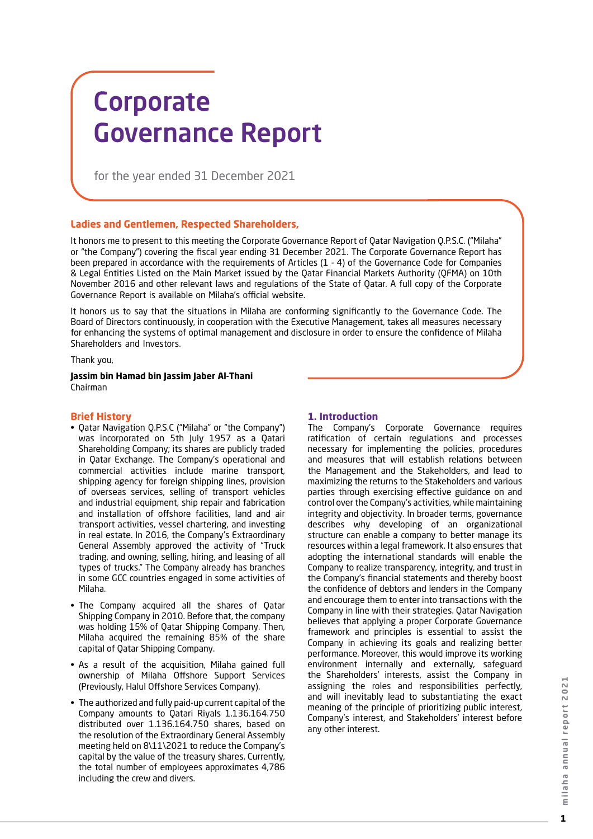# Corporate Governance Report

for the year ended 31 December 2021

#### **Ladies and Gentlemen, Respected Shareholders,**

It honors me to present to this meeting the Corporate Governance Report of Qatar Navigation Q.P.S.C. ("Milaha" or "the Company") covering the fiscal year ending 31 December 2021. The Corporate Governance Report has been prepared in accordance with the requirements of Articles (1 - 4) of the Governance Code for Companies & Legal Entities Listed on the Main Market issued by the Qatar Financial Markets Authority (QFMA) on 10th November 2016 and other relevant laws and regulations of the State of Qatar. A full copy of the Corporate Governance Report is available on Milaha's official website.

It honors us to say that the situations in Milaha are conforming significantly to the Governance Code. The Board of Directors continuously, in cooperation with the Executive Management, takes all measures necessary for enhancing the systems of optimal management and disclosure in order to ensure the confidence of Milaha Shareholders and Investors.

Thank you,

**Jassim bin Hamad bin Jassim Jaber Al-Thani** Chairman

#### **Brief History**

- • Qatar Navigation Q.P.S.C ("Milaha" or "the Company") was incorporated on 5th July 1957 as a Qatari Shareholding Company; its shares are publicly traded in Qatar Exchange. The Company's operational and commercial activities include marine transport, shipping agency for foreign shipping lines, provision of overseas services, selling of transport vehicles and industrial equipment, ship repair and fabrication and installation of offshore facilities, land and air transport activities, vessel chartering, and investing in real estate. In 2016, the Company's Extraordinary General Assembly approved the activity of "Truck trading, and owning, selling, hiring, and leasing of all types of trucks." The Company already has branches in some GCC countries engaged in some activities of Milaha.
- The Company acquired all the shares of Qatar Shipping Company in 2010. Before that, the company was holding 15% of Qatar Shipping Company. Then, Milaha acquired the remaining 85% of the share capital of Qatar Shipping Company.
- As a result of the acquisition, Milaha gained full ownership of Milaha Offshore Support Services (Previously, Halul Offshore Services Company).
- The authorized and fully paid-up current capital of the Company amounts to Qatari Riyals 1.136.164.750 distributed over 1.136.164.750 shares, based on the resolution of the Extraordinary General Assembly meeting held on 8\11\2021 to reduce the Company's capital by the value of the treasury shares. Currently, the total number of employees approximates 4,786 including the crew and divers.

#### **1. Introduction**

The Company's Corporate Governance requires ratification of certain regulations and processes necessary for implementing the policies, procedures and measures that will establish relations between the Management and the Stakeholders, and lead to maximizing the returns to the Stakeholders and various parties through exercising effective guidance on and control over the Company's activities, while maintaining integrity and objectivity. In broader terms, governance describes why developing of an organizational structure can enable a company to better manage its resources within a legal framework. It also ensures that adopting the international standards will enable the Company to realize transparency, integrity, and trust in the Company's financial statements and thereby boost the confidence of debtors and lenders in the Company and encourage them to enter into transactions with the Company in line with their strategies. Qatar Navigation believes that applying a proper Corporate Governance framework and principles is essential to assist the Company in achieving its goals and realizing better performance. Moreover, this would improve its working environment internally and externally, safeguard the Shareholders' interests, assist the Company in assigning the roles and responsibilities perfectly, and will inevitably lead to substantiating the exact meaning of the principle of prioritizing public interest, Company's interest, and Stakeholders' interest before any other interest.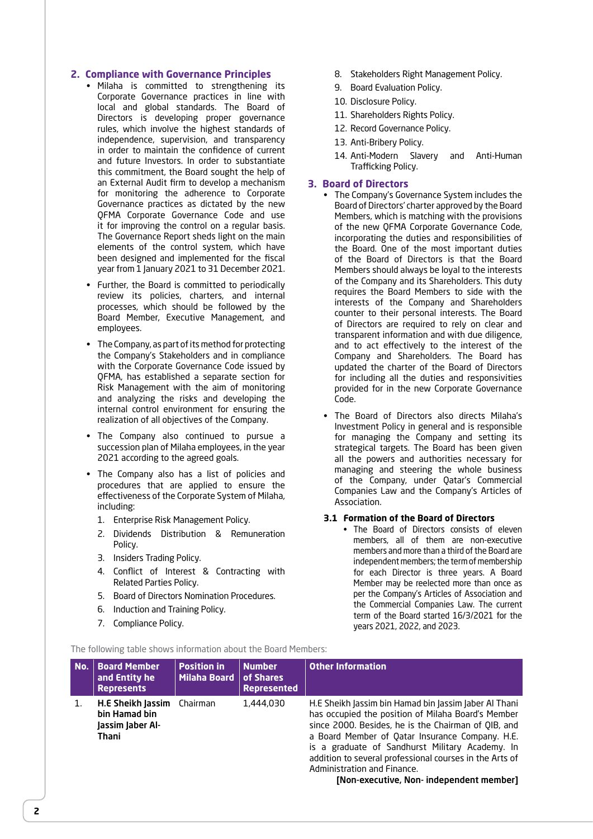#### **2. Compliance with Governance Principles**

- • Milaha is committed to strengthening its Corporate Governance practices in line with local and global standards. The Board of Directors is developing proper governance rules, which involve the highest standards of independence, supervision, and transparency in order to maintain the confidence of current and future Investors. In order to substantiate this commitment, the Board sought the help of an External Audit firm to develop a mechanism for monitoring the adherence to Corporate Governance practices as dictated by the new QFMA Corporate Governance Code and use it for improving the control on a regular basis. The Governance Report sheds light on the main elements of the control system, which have been designed and implemented for the fiscal year from 1 January 2021 to 31 December 2021.
- • Further, the Board is committed to periodically review its policies, charters, and internal processes, which should be followed by the Board Member, Executive Management, and employees.
- The Company, as part of its method for protecting the Company's Stakeholders and in compliance with the Corporate Governance Code issued by QFMA, has established a separate section for Risk Management with the aim of monitoring and analyzing the risks and developing the internal control environment for ensuring the realization of all objectives of the Company.
- • The Company also continued to pursue a succession plan of Milaha employees, in the year 2021 according to the agreed goals.
- • The Company also has a list of policies and procedures that are applied to ensure the effectiveness of the Corporate System of Milaha, including:
	- 1. Enterprise Risk Management Policy.
	- 2. Dividends Distribution & Remuneration Policy.
	- 3. Insiders Trading Policy.
	- 4. Conflict of Interest & Contracting with Related Parties Policy.
	- 5. Board of Directors Nomination Procedures.
	- 6. Induction and Training Policy.
	- 7. Compliance Policy.
- 8. Stakeholders Right Management Policy.
- 9. Board Evaluation Policy.
- 10. Disclosure Policy.
- 11. Shareholders Rights Policy.
- 12. Record Governance Policy.
- 13. Anti-Bribery Policy.
- 14. Anti-Modern Slavery and Anti-Human Trafficking Policy.

#### **3. Board of Directors**

- • The Company's Governance System includes the Board of Directors' charter approved by the Board Members, which is matching with the provisions of the new QFMA Corporate Governance Code, incorporating the duties and responsibilities of the Board. One of the most important duties of the Board of Directors is that the Board Members should always be loyal to the interests of the Company and its Shareholders. This duty requires the Board Members to side with the interests of the Company and Shareholders counter to their personal interests. The Board of Directors are required to rely on clear and transparent information and with due diligence, and to act effectively to the interest of the Company and Shareholders. The Board has updated the charter of the Board of Directors for including all the duties and responsivities provided for in the new Corporate Governance Code.
- • The Board of Directors also directs Milaha's Investment Policy in general and is responsible for managing the Company and setting its strategical targets. The Board has been given all the powers and authorities necessary for managing and steering the whole business of the Company, under Qatar's Commercial Companies Law and the Company's Articles of Association.

#### **3.1 Formation of the Board of Directors**

• The Board of Directors consists of eleven members, all of them are non-executive members and more than a third of the Board are independent members; the term of membership for each Director is three years. A Board Member may be reelected more than once as per the Company's Articles of Association and the Commercial Companies Law. The current term of the Board started 16/3/2021 for the years 2021, 2022, and 2023.

The following table shows information about the Board Members:

| No. | <b>Board Member</b><br>and Entity he<br><b>Represents</b>       | <b>Position in</b><br><b>Milaha Board</b> | <b>Number</b><br>of Shares<br><b>Represented</b> | <b>Other Information</b>                                                                                                                                                                                                                                                                                                                                                                                       |
|-----|-----------------------------------------------------------------|-------------------------------------------|--------------------------------------------------|----------------------------------------------------------------------------------------------------------------------------------------------------------------------------------------------------------------------------------------------------------------------------------------------------------------------------------------------------------------------------------------------------------------|
| 1.  | H.E Sheikh Jassim<br>bin Hamad bin<br>lassim laber Al-<br>Thani | Chairman                                  | 1,444,030                                        | H.E Sheikh Jassim bin Hamad bin Jassim Jaber Al Thani<br>has occupied the position of Milaha Board's Member<br>since 2000. Besides, he is the Chairman of QIB, and<br>a Board Member of Qatar Insurance Company. H.E.<br>is a graduate of Sandhurst Military Academy. In<br>addition to several professional courses in the Arts of<br>Administration and Finance.<br>[Non-executive, Non- independent member] |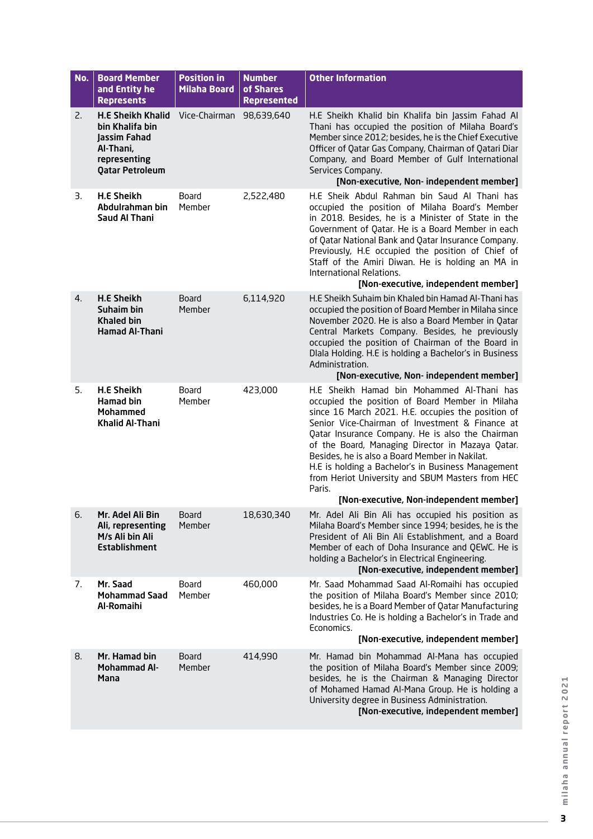| No. | <b>Board Member</b><br>and Entity he<br><b>Represents</b>                                                          | <b>Position in</b><br><b>Milaha Board</b> | <b>Number</b><br>of Shares<br><b>Represented</b> | <b>Other Information</b>                                                                                                                                                                                                                                                                                                                                                                                                                                                                                                        |
|-----|--------------------------------------------------------------------------------------------------------------------|-------------------------------------------|--------------------------------------------------|---------------------------------------------------------------------------------------------------------------------------------------------------------------------------------------------------------------------------------------------------------------------------------------------------------------------------------------------------------------------------------------------------------------------------------------------------------------------------------------------------------------------------------|
| 2.  | <b>H.E Sheikh Khalid</b><br>bin Khalifa bin<br>Jassim Fahad<br>Al-Thani,<br>representing<br><b>Qatar Petroleum</b> | Vice-Chairman 98,639,640                  |                                                  | H.E Sheikh Khalid bin Khalifa bin Jassim Fahad Al<br>Thani has occupied the position of Milaha Board's<br>Member since 2012; besides, he is the Chief Executive<br>Officer of Qatar Gas Company, Chairman of Qatari Diar<br>Company, and Board Member of Gulf International<br>Services Company.<br>[Non-executive, Non- independent member]                                                                                                                                                                                    |
| 3.  | <b>H.E Sheikh</b><br>Abdulrahman bin<br>Saud Al Thani                                                              | Board<br>Member                           | 2,522,480                                        | H.E Sheik Abdul Rahman bin Saud Al Thani has<br>occupied the position of Milaha Board's Member<br>in 2018. Besides, he is a Minister of State in the<br>Government of Qatar. He is a Board Member in each<br>of Qatar National Bank and Qatar Insurance Company.<br>Previously, H.E occupied the position of Chief of<br>Staff of the Amiri Diwan. He is holding an MA in<br>International Relations.<br>[Non-executive, independent member]                                                                                    |
| 4.  | <b>H.E Sheikh</b><br>Suhaim bin<br><b>Khaled bin</b><br><b>Hamad Al-Thani</b>                                      | Board<br>Member                           | 6,114,920                                        | H.E Sheikh Suhaim bin Khaled bin Hamad Al-Thani has<br>occupied the position of Board Member in Milaha since<br>November 2020. He is also a Board Member in Qatar<br>Central Markets Company. Besides, he previously<br>occupied the position of Chairman of the Board in<br>Dlala Holding. H.E is holding a Bachelor's in Business<br>Administration.<br>[Non-executive, Non- independent member]                                                                                                                              |
| 5.  | <b>H.E Sheikh</b><br><b>Hamad bin</b><br><b>Mohammed</b><br><b>Khalid Al-Thani</b>                                 | Board<br>Member                           | 423,000                                          | H.E Sheikh Hamad bin Mohammed Al-Thani has<br>occupied the position of Board Member in Milaha<br>since 16 March 2021. H.E. occupies the position of<br>Senior Vice-Chairman of Investment & Finance at<br>Qatar Insurance Company. He is also the Chairman<br>of the Board, Managing Director in Mazaya Qatar.<br>Besides, he is also a Board Member in Nakilat.<br>H.E is holding a Bachelor's in Business Management<br>from Heriot University and SBUM Masters from HEC<br>Paris.<br>[Non-executive, Non-independent member] |
| 6.  | Mr. Adel Ali Bin<br>Ali, representing<br>M/s Ali bin Ali<br><b>Establishment</b>                                   | Board<br>Member                           | 18,630,340                                       | Mr. Adel Ali Bin Ali has occupied his position as<br>Milaha Board's Member since 1994; besides, he is the<br>President of Ali Bin Ali Establishment, and a Board<br>Member of each of Doha Insurance and QEWC. He is<br>holding a Bachelor's in Electrical Engineering.<br>[Non-executive, independent member]                                                                                                                                                                                                                  |
| 7.  | Mr. Saad<br><b>Mohammad Saad</b><br>Al-Romaihi                                                                     | Board<br>Member                           | 460,000                                          | Mr. Saad Mohammad Saad Al-Romaihi has occupied<br>the position of Milaha Board's Member since 2010;<br>besides, he is a Board Member of Qatar Manufacturing<br>Industries Co. He is holding a Bachelor's in Trade and<br>Economics.<br>[Non-executive, independent member]                                                                                                                                                                                                                                                      |
| 8.  | Mr. Hamad bin<br><b>Mohammad Al-</b><br><b>Mana</b>                                                                | <b>Board</b><br>Member                    | 414,990                                          | Mr. Hamad bin Mohammad Al-Mana has occupied<br>the position of Milaha Board's Member since 2009;<br>besides, he is the Chairman & Managing Director<br>of Mohamed Hamad Al-Mana Group. He is holding a<br>University degree in Business Administration.<br>[Non-executive, independent member]                                                                                                                                                                                                                                  |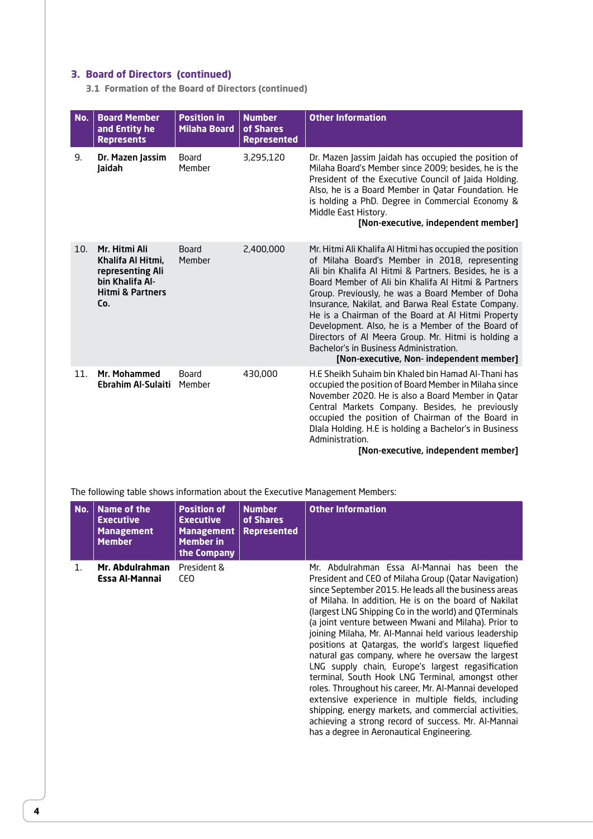## **3. Board of Directors (continued)**

**3.1 Formation of the Board of Directors (continued)**

| No. | <b>Board Member</b><br>and Entity he<br><b>Represents</b>                                                       | <b>Position in</b><br><b>Milaha Board</b> | <b>Number</b><br>of Shares<br><b>Represented</b> | <b>Other Information</b>                                                                                                                                                                                                                                                                                                                                                                                                                                                                                                                                                                     |
|-----|-----------------------------------------------------------------------------------------------------------------|-------------------------------------------|--------------------------------------------------|----------------------------------------------------------------------------------------------------------------------------------------------------------------------------------------------------------------------------------------------------------------------------------------------------------------------------------------------------------------------------------------------------------------------------------------------------------------------------------------------------------------------------------------------------------------------------------------------|
| 9.  | Dr. Mazen Jassim<br>Jaidah                                                                                      | <b>Board</b><br>Member                    | 3,295,120                                        | Dr. Mazen Jassim Jaidah has occupied the position of<br>Milaha Board's Member since 2009; besides, he is the<br>President of the Executive Council of Jaida Holding.<br>Also, he is a Board Member in Qatar Foundation. He<br>is holding a PhD. Degree in Commercial Economy &<br>Middle East History.<br>[Non-executive, independent member]                                                                                                                                                                                                                                                |
| 10. | Mr. Hitmi Ali<br>Khalifa Al Hitmi,<br>representing Ali<br>bin Khalifa Al-<br><b>Hitmi &amp; Partners</b><br>Co. | <b>Board</b><br>Member                    | 2,400,000                                        | Mr. Hitmi Ali Khalifa Al Hitmi has occupied the position<br>of Milaha Board's Member in 2018, representing<br>Ali bin Khalifa Al Hitmi & Partners. Besides, he is a<br>Board Member of Ali bin Khalifa Al Hitmi & Partners<br>Group. Previously, he was a Board Member of Doha<br>Insurance, Nakilat, and Barwa Real Estate Company.<br>He is a Chairman of the Board at Al Hitmi Property<br>Development. Also, he is a Member of the Board of<br>Directors of Al Meera Group. Mr. Hitmi is holding a<br>Bachelor's in Business Administration.<br>[Non-executive, Non- independent member] |
| 11. | Mr. Mohammed<br>Ebrahim Al-Sulaiti                                                                              | <b>Board</b><br>Member                    | 430,000                                          | H.E Sheikh Suhaim bin Khaled bin Hamad Al-Thani has<br>occupied the position of Board Member in Milaha since<br>November 2020. He is also a Board Member in Qatar<br>Central Markets Company. Besides, he previously<br>occupied the position of Chairman of the Board in<br>Diala Holding. H.E is holding a Bachelor's in Business<br>Administration.<br>[Non-executive, independent member]                                                                                                                                                                                                |

The following table shows information about the Executive Management Members:

| No. | Name of the<br><b>Executive</b><br><b>Management</b><br><b>Member</b> | <b>Position of</b><br><b>Executive</b><br><b>Management</b><br><b>Member in</b><br>the Company | <b>Number</b><br>of Shares<br><b>Represented</b> | <b>Other Information</b>                                                                                                                                                                                                                                                                                                                                                                                                                                                                                                                                                                                                                                                                                                                                                                                                                                                                         |
|-----|-----------------------------------------------------------------------|------------------------------------------------------------------------------------------------|--------------------------------------------------|--------------------------------------------------------------------------------------------------------------------------------------------------------------------------------------------------------------------------------------------------------------------------------------------------------------------------------------------------------------------------------------------------------------------------------------------------------------------------------------------------------------------------------------------------------------------------------------------------------------------------------------------------------------------------------------------------------------------------------------------------------------------------------------------------------------------------------------------------------------------------------------------------|
| 1.  | Mr. Abdulrahman<br>Essa Al-Mannai                                     | President &<br>CEO                                                                             |                                                  | Mr. Abdulrahman Essa Al-Mannai has been the<br>President and CEO of Milaha Group (Qatar Navigation)<br>since September 2015. He leads all the business areas<br>of Milaha. In addition, He is on the board of Nakilat<br>(largest LNG Shipping Co in the world) and OTerminals<br>(a joint venture between Mwani and Milaha). Prior to<br>joining Milaha, Mr. Al-Mannai held various leadership<br>positions at Qatargas, the world's largest liquefied<br>natural gas company, where he oversaw the largest<br>LNG supply chain, Europe's largest regasification<br>terminal, South Hook LNG Terminal, amongst other<br>roles. Throughout his career, Mr. Al-Mannai developed<br>extensive experience in multiple fields, including<br>shipping, energy markets, and commercial activities,<br>achieving a strong record of success. Mr. Al-Mannai<br>has a degree in Aeronautical Engineering. |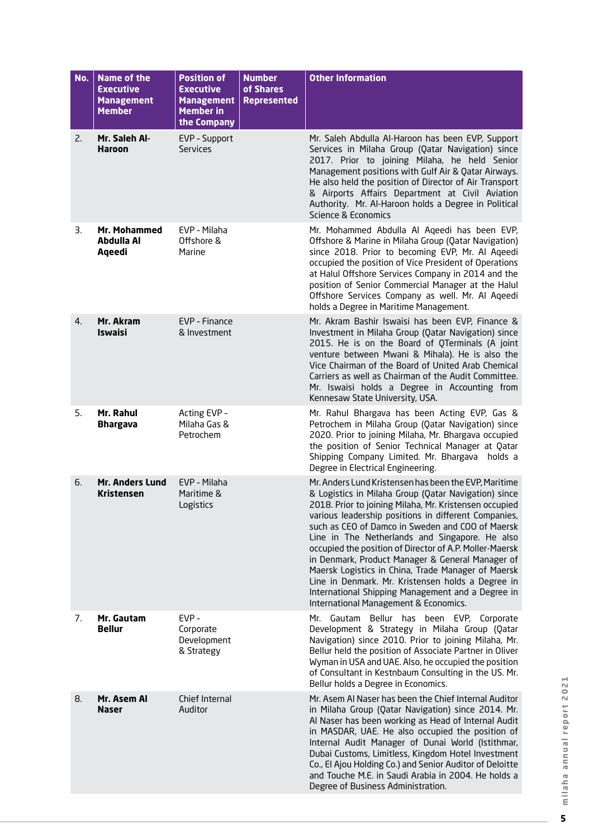| No. | <b>Name of the</b><br><b>Executive</b><br><b>Management</b><br><b>Member</b> | <b>Position of</b><br><b>Executive</b><br><b>Management</b><br><b>Member in</b><br>the Company | <b>Number</b><br>of Shares<br><b>Represented</b> | <b>Other Information</b>                                                                                                                                                                                                                                                                                                                                                                                                                                                                                                                                                                                                                                      |
|-----|------------------------------------------------------------------------------|------------------------------------------------------------------------------------------------|--------------------------------------------------|---------------------------------------------------------------------------------------------------------------------------------------------------------------------------------------------------------------------------------------------------------------------------------------------------------------------------------------------------------------------------------------------------------------------------------------------------------------------------------------------------------------------------------------------------------------------------------------------------------------------------------------------------------------|
| 2.  | Mr. Saleh Al-<br><b>Haroon</b>                                               | EVP - Support<br><b>Services</b>                                                               |                                                  | Mr. Saleh Abdulla Al-Haroon has been EVP, Support<br>Services in Milaha Group (Qatar Navigation) since<br>2017. Prior to joining Milaha, he held Senior<br>Management positions with Gulf Air & Qatar Airways.<br>He also held the position of Director of Air Transport<br>& Airports Affairs Department at Civil Aviation<br>Authority. Mr. Al-Haroon holds a Degree in Political<br>Science & Economics                                                                                                                                                                                                                                                    |
| 3.  | Mr. Mohammed<br>Abdulla Al<br>Aqeedi                                         | EVP - Milaha<br>Offshore &<br>Marine                                                           |                                                  | Mr. Mohammed Abdulla Al Ageedi has been EVP,<br>Offshore & Marine in Milaha Group (Qatar Navigation)<br>since 2018. Prior to becoming EVP, Mr. Al Aqeedi<br>occupied the position of Vice President of Operations<br>at Halul Offshore Services Company in 2014 and the<br>position of Senior Commercial Manager at the Halul<br>Offshore Services Company as well. Mr. Al Aqeedi<br>holds a Degree in Maritime Management.                                                                                                                                                                                                                                   |
| 4.  | Mr. Akram<br><b>Iswaisi</b>                                                  | EVP - Finance<br>& Investment                                                                  |                                                  | Mr. Akram Bashir Iswaisi has been EVP, Finance &<br>Investment in Milaha Group (Qatar Navigation) since<br>2015. He is on the Board of QTerminals (A joint<br>venture between Mwani & Mihala). He is also the<br>Vice Chairman of the Board of United Arab Chemical<br>Carriers as well as Chairman of the Audit Committee.<br>Mr. Iswaisi holds a Degree in Accounting from<br>Kennesaw State University, USA.                                                                                                                                                                                                                                               |
| 5.  | Mr. Rahul<br><b>Bhargava</b>                                                 | Acting EVP -<br>Milaha Gas &<br>Petrochem                                                      |                                                  | Mr. Rahul Bhargava has been Acting EVP, Gas &<br>Petrochem in Milaha Group (Qatar Navigation) since<br>2020. Prior to joining Milaha, Mr. Bhargava occupied<br>the position of Senior Technical Manager at Qatar<br>Shipping Company Limited. Mr. Bhargava holds a<br>Degree in Electrical Engineering.                                                                                                                                                                                                                                                                                                                                                       |
| 6.  | Mr. Anders Lund<br>Kristensen                                                | EVP - Milaha<br>Maritime &<br>Logistics                                                        |                                                  | Mr. Anders Lund Kristensen has been the EVP, Maritime<br>& Logistics in Milaha Group (Qatar Navigation) since<br>2018. Prior to joining Milaha, Mr. Kristensen occupied<br>various leadership positions in different Companies,<br>such as CEO of Damco in Sweden and COO of Maersk<br>Line in The Netherlands and Singapore. He also<br>occupied the position of Director of A.P. Moller-Maersk<br>in Denmark, Product Manager & General Manager of<br>Maersk Logistics in China, Trade Manager of Maersk<br>Line in Denmark. Mr. Kristensen holds a Degree in<br>International Shipping Management and a Degree in<br>International Management & Economics. |
| 7.  | Mr. Gautam<br><b>Bellur</b>                                                  | EVP-<br>Corporate<br>Development<br>& Strategy                                                 |                                                  | Gautam Bellur has been EVP, Corporate<br>Mr.<br>Development & Strategy in Milaha Group (Qatar<br>Navigation) since 2010. Prior to joining Milaha, Mr.<br>Bellur held the position of Associate Partner in Oliver<br>Wyman in USA and UAE. Also, he occupied the position<br>of Consultant in Kestnbaum Consulting in the US. Mr.<br>Bellur holds a Degree in Economics.                                                                                                                                                                                                                                                                                       |
| 8.  | Mr. Asem Al<br><b>Naser</b>                                                  | Chief Internal<br>Auditor                                                                      |                                                  | Mr. Asem AI Naser has been the Chief Internal Auditor<br>in Milaha Group (Qatar Navigation) since 2014. Mr.<br>Al Naser has been working as Head of Internal Audit<br>in MASDAR, UAE. He also occupied the position of<br>Internal Audit Manager of Dunai World (Istithmar,<br>Dubai Customs, Limitless, Kingdom Hotel Investment<br>Co., El Ajou Holding Co.) and Senior Auditor of Deloitte<br>and Touche M.E. in Saudi Arabia in 2004. He holds a<br>Degree of Business Administration.                                                                                                                                                                    |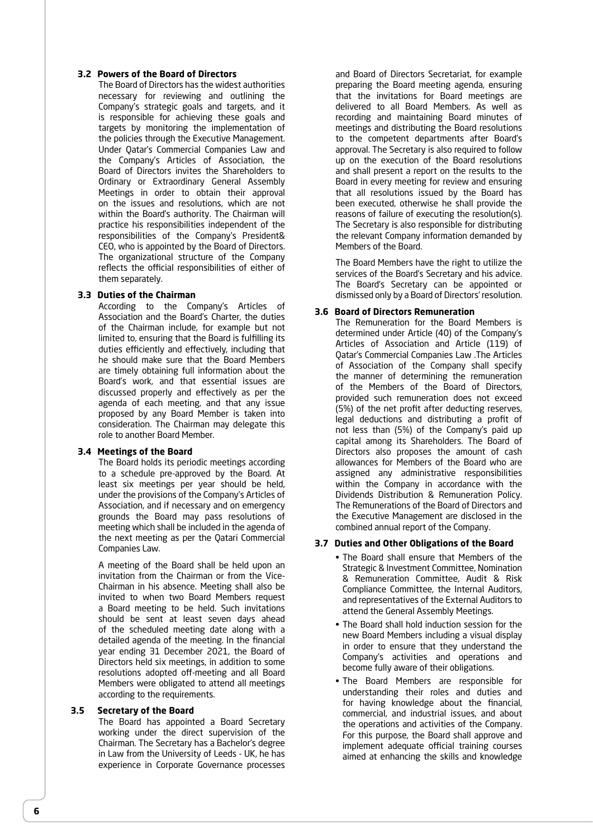#### **3.2 Powers of the Board of Directors**

The Board of Directors has the widest authorities necessary for reviewing and outlining the Company's strategic goals and targets, and it is responsible for achieving these goals and targets by monitoring the implementation of the policies through the Executive Management. Under Qatar's Commercial Companies Law and the Company's Articles of Association, the Board of Directors invites the Shareholders to Ordinary or Extraordinary General Assembly Meetings in order to obtain their approval on the issues and resolutions, which are not within the Board's authority. The Chairman will practice his responsibilities independent of the responsibilities of the Company's President& CEO, who is appointed by the Board of Directors. The organizational structure of the Company reflects the official responsibilities of either of them separately.

#### **3.3 Duties of the Chairman**

According to the Company's Articles of Association and the Board's Charter, the duties of the Chairman include, for example but not limited to, ensuring that the Board is fulfilling its duties efficiently and effectively, including that he should make sure that the Board Members are timely obtaining full information about the Board's work, and that essential issues are discussed properly and effectively as per the agenda of each meeting, and that any issue proposed by any Board Member is taken into consideration. The Chairman may delegate this role to another Board Member.

#### **3.4 Meetings of the Board**

The Board holds its periodic meetings according to a schedule pre-approved by the Board. At least six meetings per year should be held, under the provisions of the Company's Articles of Association, and if necessary and on emergency grounds the Board may pass resolutions of meeting which shall be included in the agenda of the next meeting as per the Qatari Commercial Companies Law.

A meeting of the Board shall be held upon an invitation from the Chairman or from the Vice-Chairman in his absence. Meeting shall also be invited to when two Board Members request a Board meeting to be held. Such invitations should be sent at least seven days ahead of the scheduled meeting date along with a detailed agenda of the meeting. In the financial year ending 31 December 2021, the Board of Directors held six meetings, in addition to some resolutions adopted off-meeting and all Board Members were obligated to attend all meetings according to the requirements.

#### **3.5 Secretary of the Board**

The Board has appointed a Board Secretary working under the direct supervision of the Chairman. The Secretary has a Bachelor's degree in Law from the University of Leeds - UK, he has experience in Corporate Governance processes

and Board of Directors Secretariat, for example preparing the Board meeting agenda, ensuring that the invitations for Board meetings are delivered to all Board Members. As well as recording and maintaining Board minutes of meetings and distributing the Board resolutions to the competent departments after Board's approval. The Secretary is also required to follow up on the execution of the Board resolutions and shall present a report on the results to the Board in every meeting for review and ensuring that all resolutions issued by the Board has been executed, otherwise he shall provide the reasons of failure of executing the resolution(s). The Secretary is also responsible for distributing the relevant Company information demanded by Members of the Board.

The Board Members have the right to utilize the services of the Board's Secretary and his advice. The Board's Secretary can be appointed or dismissed only by a Board of Directors' resolution.

#### **3.6 Board of Directors Remuneration**

The Remuneration for the Board Members is determined under Article (40) of the Company's Articles of Association and Article (119) of Qatar's Commercial Companies Law .The Articles of Association of the Company shall specify the manner of determining the remuneration of the Members of the Board of Directors, provided such remuneration does not exceed (5%) of the net profit after deducting reserves, legal deductions and distributing a profit of not less than (5%) of the Company's paid up capital among its Shareholders. The Board of Directors also proposes the amount of cash allowances for Members of the Board who are assigned any administrative responsibilities within the Company in accordance with the Dividends Distribution & Remuneration Policy. The Remunerations of the Board of Directors and the Executive Management are disclosed in the combined annual report of the Company.

#### **3.7 Duties and Other Obligations of the Board**

- The Board shall ensure that Members of the Strategic & Investment Committee, Nomination & Remuneration Committee, Audit & Risk Compliance Committee, the Internal Auditors, and representatives of the External Auditors to attend the General Assembly Meetings.
- The Board shall hold induction session for the new Board Members including a visual display in order to ensure that they understand the Company's activities and operations and become fully aware of their obligations.
- • The Board Members are responsible for understanding their roles and duties and for having knowledge about the financial, commercial, and industrial issues, and about the operations and activities of the Company. For this purpose, the Board shall approve and implement adequate official training courses aimed at enhancing the skills and knowledge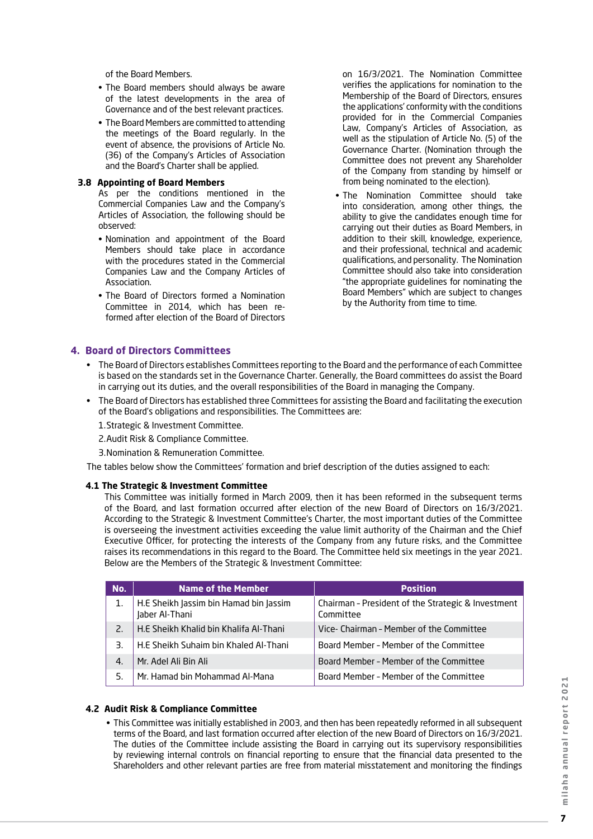of the Board Members.

- The Board members should always be aware of the latest developments in the area of Governance and of the best relevant practices.
- The Board Members are committed to attending the meetings of the Board regularly. In the event of absence, the provisions of Article No. (36) of the Company's Articles of Association and the Board's Charter shall be applied.

#### **3.8 Appointing of Board Members**

As per the conditions mentioned in the Commercial Companies Law and the Company's Articles of Association, the following should be observed:

- • Nomination and appointment of the Board Members should take place in accordance with the procedures stated in the Commercial Companies Law and the Company Articles of Association.
- The Board of Directors formed a Nomination Committee in 2014, which has been reformed after election of the Board of Directors

on 16/3/2021. The Nomination Committee verifies the applications for nomination to the Membership of the Board of Directors, ensures the applications' conformity with the conditions provided for in the Commercial Companies Law, Company's Articles of Association, as well as the stipulation of Article No. (5) of the Governance Charter. (Nomination through the Committee does not prevent any Shareholder of the Company from standing by himself or from being nominated to the election).

• The Nomination Committee should take into consideration, among other things, the ability to give the candidates enough time for carrying out their duties as Board Members, in addition to their skill, knowledge, experience, and their professional, technical and academic qualifications, and personality. The Nomination Committee should also take into consideration "the appropriate guidelines for nominating the Board Members" which are subject to changes by the Authority from time to time.

## **4. Board of Directors Committees**

- • The Board of Directors establishes Committees reporting to the Board and the performance of each Committee is based on the standards set in the Governance Charter. Generally, the Board committees do assist the Board in carrying out its duties, and the overall responsibilities of the Board in managing the Company.
- The Board of Directors has established three Committees for assisting the Board and facilitating the execution of the Board's obligations and responsibilities. The Committees are:
	- 1.Strategic & Investment Committee.
	- 2.Audit Risk & Compliance Committee.
	- 3.Nomination & Remuneration Committee.

The tables below show the Committees' formation and brief description of the duties assigned to each:

#### **4.1 The Strategic & Investment Committee**

 This Committee was initially formed in March 2009, then it has been reformed in the subsequent terms of the Board, and last formation occurred after election of the new Board of Directors on 16/3/2021. According to the Strategic & Investment Committee's Charter, the most important duties of the Committee is overseeing the investment activities exceeding the value limit authority of the Chairman and the Chief Executive Officer, for protecting the interests of the Company from any future risks, and the Committee raises its recommendations in this regard to the Board. The Committee held six meetings in the year 2021. Below are the Members of the Strategic & Investment Committee:

| No.          | <b>Name of the Member</b>                                | <b>Position</b>                                                 |
|--------------|----------------------------------------------------------|-----------------------------------------------------------------|
|              | H.E Sheikh Jassim bin Hamad bin Jassim<br>Jaber Al-Thani | Chairman - President of the Strategic & Investment<br>Committee |
| 2.           | H.E Sheikh Khalid bin Khalifa Al-Thani                   | Vice- Chairman - Member of the Committee                        |
| 3.           | H.E Sheikh Suhaim bin Khaled Al-Thani                    | Board Member - Member of the Committee                          |
| $\mathbf{4}$ | Mr. Adel Ali Bin Ali                                     | Board Member - Member of the Committee                          |
| 5.           | Mr. Hamad bin Mohammad Al-Mana                           | Board Member - Member of the Committee                          |

#### **4.2 Audit Risk & Compliance Committee**

• This Committee was initially established in 2003, and then has been repeatedly reformed in all subsequent terms of the Board, and last formation occurred after election of the new Board of Directors on 16/3/2021. The duties of the Committee include assisting the Board in carrying out its supervisory responsibilities by reviewing internal controls on financial reporting to ensure that the financial data presented to the Shareholders and other relevant parties are free from material misstatement and monitoring the findings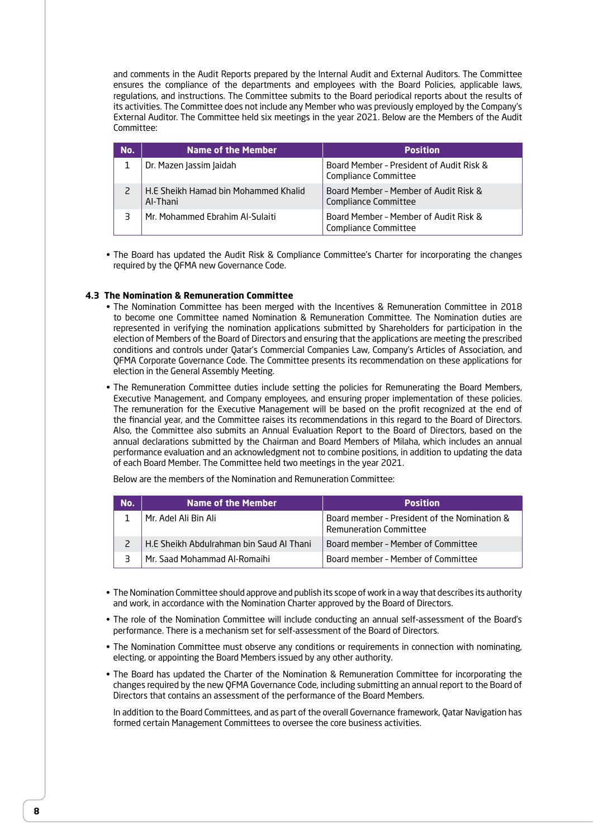and comments in the Audit Reports prepared by the Internal Audit and External Auditors. The Committee ensures the compliance of the departments and employees with the Board Policies, applicable laws, regulations, and instructions. The Committee submits to the Board periodical reports about the results of its activities. The Committee does not include any Member who was previously employed by the Company's External Auditor. The Committee held six meetings in the year 2021. Below are the Members of the Audit Committee:

| No. | Name of the Member                               | <b>Position</b>                                                  |
|-----|--------------------------------------------------|------------------------------------------------------------------|
|     | Dr. Mazen Jassim Jaidah                          | Board Member - President of Audit Risk &<br>Compliance Committee |
|     | H.E Sheikh Hamad bin Mohammed Khalid<br>Al-Thani | Board Member - Member of Audit Risk &<br>Compliance Committee    |
|     | Mr. Mohammed Ebrahim Al-Sulaiti                  | Board Member - Member of Audit Risk &<br>Compliance Committee    |

• The Board has updated the Audit Risk & Compliance Committee's Charter for incorporating the changes required by the QFMA new Governance Code.

#### **4.3 The Nomination & Remuneration Committee**

- The Nomination Committee has been merged with the Incentives & Remuneration Committee in 2018 to become one Committee named Nomination & Remuneration Committee. The Nomination duties are represented in verifying the nomination applications submitted by Shareholders for participation in the election of Members of the Board of Directors and ensuring that the applications are meeting the prescribed conditions and controls under Qatar's Commercial Companies Law, Company's Articles of Association, and QFMA Corporate Governance Code. The Committee presents its recommendation on these applications for election in the General Assembly Meeting.
- The Remuneration Committee duties include setting the policies for Remunerating the Board Members, Executive Management, and Company employees, and ensuring proper implementation of these policies. The remuneration for the Executive Management will be based on the profit recognized at the end of the financial year, and the Committee raises its recommendations in this regard to the Board of Directors. Also, the Committee also submits an Annual Evaluation Report to the Board of Directors, based on the annual declarations submitted by the Chairman and Board Members of Milaha, which includes an annual performance evaluation and an acknowledgment not to combine positions, in addition to updating the data of each Board Member. The Committee held two meetings in the year 2021.

Below are the members of the Nomination and Remuneration Committee:

| No. | Name of the Member                       | <b>Position</b>                                                               |
|-----|------------------------------------------|-------------------------------------------------------------------------------|
|     | Mr. Adel Ali Bin Ali                     | Board member - President of the Nomination &<br><b>Remuneration Committee</b> |
|     | H.E Sheikh Abdulrahman bin Saud Al Thani | Board member - Member of Committee                                            |
|     | Mr. Saad Mohammad Al-Romaihi             | Board member - Member of Committee                                            |

- The Nomination Committee should approve and publish its scope of work in a way that describes its authority and work, in accordance with the Nomination Charter approved by the Board of Directors.
- The role of the Nomination Committee will include conducting an annual self-assessment of the Board's performance. There is a mechanism set for self-assessment of the Board of Directors.
- The Nomination Committee must observe any conditions or requirements in connection with nominating, electing, or appointing the Board Members issued by any other authority.
- The Board has updated the Charter of the Nomination & Remuneration Committee for incorporating the changes required by the new QFMA Governance Code, including submitting an annual report to the Board of Directors that contains an assessment of the performance of the Board Members.

In addition to the Board Committees, and as part of the overall Governance framework, Qatar Navigation has formed certain Management Committees to oversee the core business activities.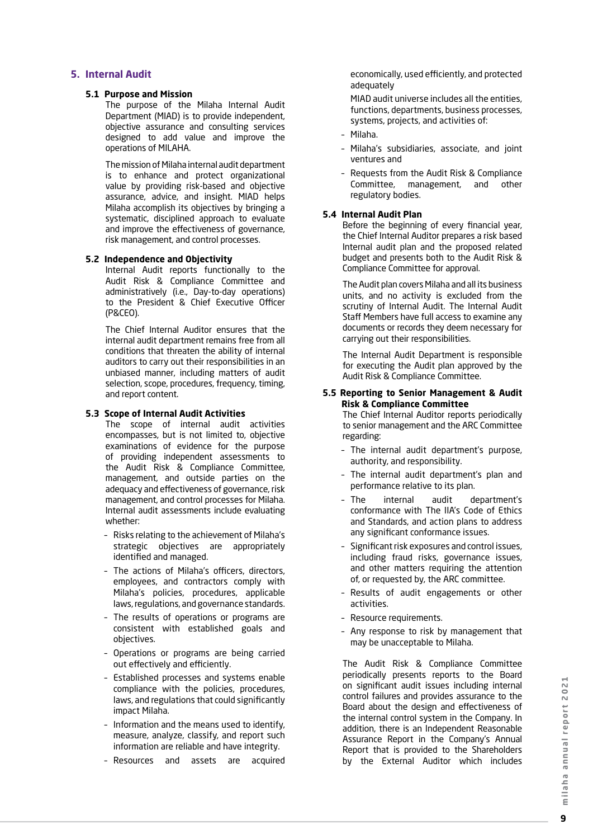## **5. Internal Audit**

#### **5.1 Purpose and Mission**

The purpose of the Milaha Internal Audit Department (MIAD) is to provide independent, objective assurance and consulting services designed to add value and improve the operations of MILAHA.

The mission of Milaha internal audit department is to enhance and protect organizational value by providing risk-based and objective assurance, advice, and insight. MIAD helps Milaha accomplish its objectives by bringing a systematic, disciplined approach to evaluate and improve the effectiveness of governance, risk management, and control processes.

#### **5.2 Independence and Objectivity**

Internal Audit reports functionally to the Audit Risk & Compliance Committee and administratively (i.e., Day-to-day operations) to the President & Chief Executive Officer (P&CEO).

The Chief Internal Auditor ensures that the internal audit department remains free from all conditions that threaten the ability of internal auditors to carry out their responsibilities in an unbiased manner, including matters of audit selection, scope, procedures, frequency, timing, and report content.

#### **5.3 Scope of Internal Audit Activities**

The scope of internal audit activities encompasses, but is not limited to, objective examinations of evidence for the purpose of providing independent assessments to the Audit Risk & Compliance Committee, management, and outside parties on the adequacy and effectiveness of governance, risk management, and control processes for Milaha. Internal audit assessments include evaluating whether:

- Risks relating to the achievement of Milaha's strategic objectives are appropriately identified and managed.
- The actions of Milaha's officers, directors, employees, and contractors comply with Milaha's policies, procedures, applicable laws, regulations, and governance standards.
- The results of operations or programs are consistent with established goals and objectives.
- Operations or programs are being carried out effectively and efficiently.
- Established processes and systems enable compliance with the policies, procedures, laws, and regulations that could significantly impact Milaha.
- Information and the means used to identify, measure, analyze, classify, and report such information are reliable and have integrity.
- Resources and assets are acquired

economically, used efficiently, and protected adequately

 MIAD audit universe includes all the entities, functions, departments, business processes, systems, projects, and activities of:

- Milaha.
- Milaha's subsidiaries, associate, and joint ventures and
- Requests from the Audit Risk & Compliance Committee, management, and other regulatory bodies.

#### **5.4 Internal Audit Plan**

Before the beginning of every financial year, the Chief Internal Auditor prepares a risk based Internal audit plan and the proposed related budget and presents both to the Audit Risk & Compliance Committee for approval.

The Audit plan covers Milaha and all its business units, and no activity is excluded from the scrutiny of Internal Audit. The Internal Audit Staff Members have full access to examine any documents or records they deem necessary for carrying out their responsibilities.

The Internal Audit Department is responsible for executing the Audit plan approved by the Audit Risk & Compliance Committee.

#### **5.5 Reporting to Senior Management & Audit Risk & Compliance Committee**

The Chief Internal Auditor reports periodically to senior management and the ARC Committee regarding:

- The internal audit department's purpose, authority, and responsibility.
- The internal audit department's plan and performance relative to its plan.
- The internal audit department's conformance with The IIA's Code of Ethics and Standards, and action plans to address any significant conformance issues.
- Significant risk exposures and control issues, including fraud risks, governance issues, and other matters requiring the attention of, or requested by, the ARC committee.
- Results of audit engagements or other activities.
- Resource requirements.
- Any response to risk by management that may be unacceptable to Milaha.

The Audit Risk & Compliance Committee periodically presents reports to the Board on significant audit issues including internal control failures and provides assurance to the Board about the design and effectiveness of the internal control system in the Company. In addition, there is an Independent Reasonable Assurance Report in the Company's Annual Report that is provided to the Shareholders by the External Auditor which includes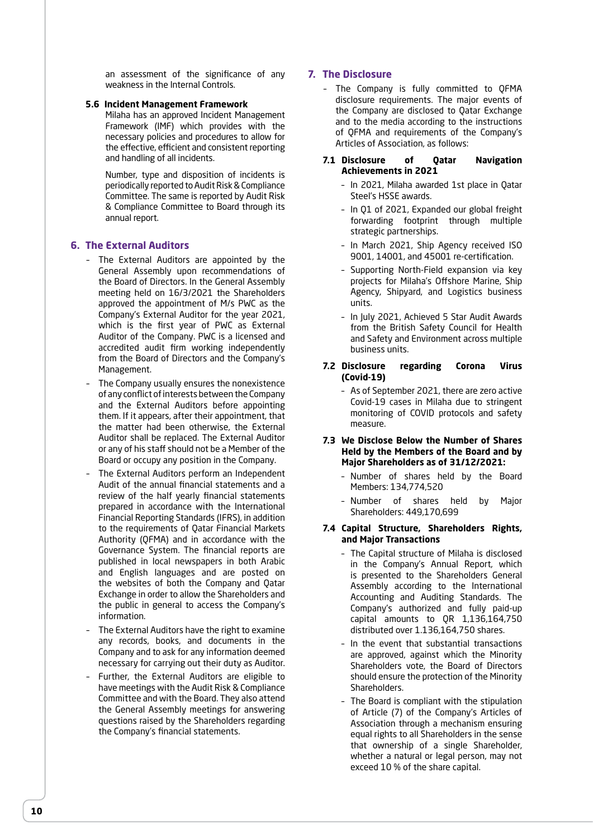an assessment of the significance of any weakness in the Internal Controls.

#### **5.6 Incident Management Framework**

Milaha has an approved Incident Management Framework (IMF) which provides with the necessary policies and procedures to allow for the effective, efficient and consistent reporting and handling of all incidents.

Number, type and disposition of incidents is periodically reported to Audit Risk & Compliance Committee. The same is reported by Audit Risk & Compliance Committee to Board through its annual report.

#### **6. The External Auditors**

- The External Auditors are appointed by the General Assembly upon recommendations of the Board of Directors. In the General Assembly meeting held on 16/3/2021 the Shareholders approved the appointment of M/s PWC as the Company's External Auditor for the year 2021, which is the first year of PWC as External Auditor of the Company. PWC is a licensed and accredited audit firm working independently from the Board of Directors and the Company's Management.
- The Company usually ensures the nonexistence of any conflict of interests between the Company and the External Auditors before appointing them. If it appears, after their appointment, that the matter had been otherwise, the External Auditor shall be replaced. The External Auditor or any of his staff should not be a Member of the Board or occupy any position in the Company.
- The External Auditors perform an Independent Audit of the annual financial statements and a review of the half yearly financial statements prepared in accordance with the International Financial Reporting Standards (IFRS), in addition to the requirements of Qatar Financial Markets Authority (QFMA) and in accordance with the Governance System. The financial reports are published in local newspapers in both Arabic and English languages and are posted on the websites of both the Company and Qatar Exchange in order to allow the Shareholders and the public in general to access the Company's information.
- The External Auditors have the right to examine any records, books, and documents in the Company and to ask for any information deemed necessary for carrying out their duty as Auditor.
- Further, the External Auditors are eligible to have meetings with the Audit Risk & Compliance Committee and with the Board. They also attend the General Assembly meetings for answering questions raised by the Shareholders regarding the Company's financial statements.

## **7. The Disclosure**

– The Company is fully committed to QFMA disclosure requirements. The major events of the Company are disclosed to Qatar Exchange and to the media according to the instructions of QFMA and requirements of the Company's Articles of Association, as follows:

#### **7.1 Disclosure of Qatar Navigation Achievements in 2021**

- In 2021, Milaha awarded 1st place in Qatar Steel's HSSE awards.
- In Q1 of 2021, Expanded our global freight forwarding footprint through multiple strategic partnerships.
- In March 2021, Ship Agency received ISO 9001, 14001, and 45001 re-certification.
- Supporting North-Field expansion via key projects for Milaha's Offshore Marine, Ship Agency, Shipyard, and Logistics business units.
- In July 2021, Achieved 5 Star Audit Awards from the British Safety Council for Health and Safety and Environment across multiple business units.
- **7.2 Disclosure regarding Corona Virus (Covid-19)**
	- As of September 2021, there are zero active Covid-19 cases in Milaha due to stringent monitoring of COVID protocols and safety measure.
- **7.3 We Disclose Below the Number of Shares Held by the Members of the Board and by Major Shareholders as of 31/12/2021:**
	- Number of shares held by the Board Members: 134,774,520
	- Number of shares held by Major Shareholders: 449,170,699

#### **7.4 Capital Structure, Shareholders Rights, and Major Transactions**

- The Capital structure of Milaha is disclosed in the Company's Annual Report, which is presented to the Shareholders General Assembly according to the International Accounting and Auditing Standards. The Company's authorized and fully paid-up capital amounts to QR 1,136,164,750 distributed over 1.136,164,750 shares.
- In the event that substantial transactions are approved, against which the Minority Shareholders vote, the Board of Directors should ensure the protection of the Minority Shareholders.
- The Board is compliant with the stipulation of Article (7) of the Company's Articles of Association through a mechanism ensuring equal rights to all Shareholders in the sense that ownership of a single Shareholder, whether a natural or legal person, may not exceed 10 % of the share capital.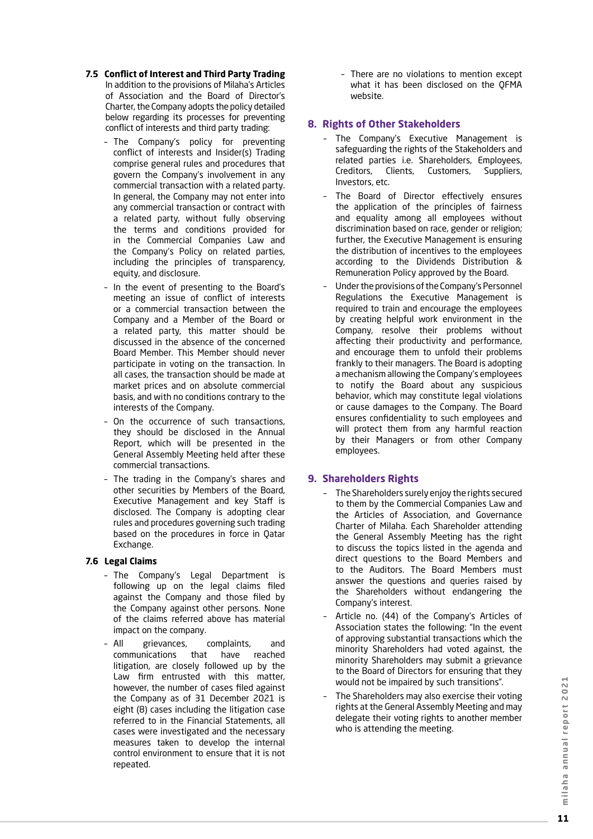- **7.5 Conflict of Interest and Third Party Trading** In addition to the provisions of Milaha's Articles of Association and the Board of Director's Charter, the Company adopts the policy detailed below regarding its processes for preventing conflict of interests and third party trading:
	- The Company's policy for preventing conflict of interests and Insider(s) Trading comprise general rules and procedures that govern the Company's involvement in any commercial transaction with a related party. In general, the Company may not enter into any commercial transaction or contract with a related party, without fully observing the terms and conditions provided for in the Commercial Companies Law and the Company's Policy on related parties, including the principles of transparency, equity, and disclosure.
	- In the event of presenting to the Board's meeting an issue of conflict of interests or a commercial transaction between the Company and a Member of the Board or a related party, this matter should be discussed in the absence of the concerned Board Member. This Member should never participate in voting on the transaction. In all cases, the transaction should be made at market prices and on absolute commercial basis, and with no conditions contrary to the interests of the Company.
	- On the occurrence of such transactions, they should be disclosed in the Annual Report, which will be presented in the General Assembly Meeting held after these commercial transactions.
	- The trading in the Company's shares and other securities by Members of the Board, Executive Management and key Staff is disclosed. The Company is adopting clear rules and procedures governing such trading based on the procedures in force in Qatar Exchange.

#### **7.6 Legal Claims**

- The Company's Legal Department is following up on the legal claims filed against the Company and those filed by the Company against other persons. None of the claims referred above has material impact on the company.
- All grievances, complaints, and communications that have reached litigation, are closely followed up by the Law firm entrusted with this matter, however, the number of cases filed against the Company as of 31 December 2021 is eight (8) cases including the litigation case referred to in the Financial Statements, all cases were investigated and the necessary measures taken to develop the internal control environment to ensure that it is not repeated.

 – There are no violations to mention except what it has been disclosed on the QFMA website.

## **8. Rights of Other Stakeholders**

- The Company's Executive Management is safeguarding the rights of the Stakeholders and related parties i.e. Shareholders, Employees, Creditors, Clients, Customers, Suppliers, Investors, etc.
- The Board of Director effectively ensures the application of the principles of fairness and equality among all employees without discrimination based on race, gender or religion; further, the Executive Management is ensuring the distribution of incentives to the employees according to the Dividends Distribution & Remuneration Policy approved by the Board.
- Under the provisions of the Company's Personnel Regulations the Executive Management is required to train and encourage the employees by creating helpful work environment in the Company, resolve their problems without affecting their productivity and performance, and encourage them to unfold their problems frankly to their managers. The Board is adopting a mechanism allowing the Company's employees to notify the Board about any suspicious behavior, which may constitute legal violations or cause damages to the Company. The Board ensures confidentiality to such employees and will protect them from any harmful reaction by their Managers or from other Company employees.

## **9. Shareholders Rights**

- The Shareholders surely enjoy the rights secured to them by the Commercial Companies Law and the Articles of Association, and Governance Charter of Milaha. Each Shareholder attending the General Assembly Meeting has the right to discuss the topics listed in the agenda and direct questions to the Board Members and to the Auditors. The Board Members must answer the questions and queries raised by the Shareholders without endangering the Company's interest.
- Article no. (44) of the Company's Articles of Association states the following: "In the event of approving substantial transactions which the minority Shareholders had voted against, the minority Shareholders may submit a grievance to the Board of Directors for ensuring that they would not be impaired by such transitions".
- The Shareholders may also exercise their voting rights at the General Assembly Meeting and may delegate their voting rights to another member who is attending the meeting.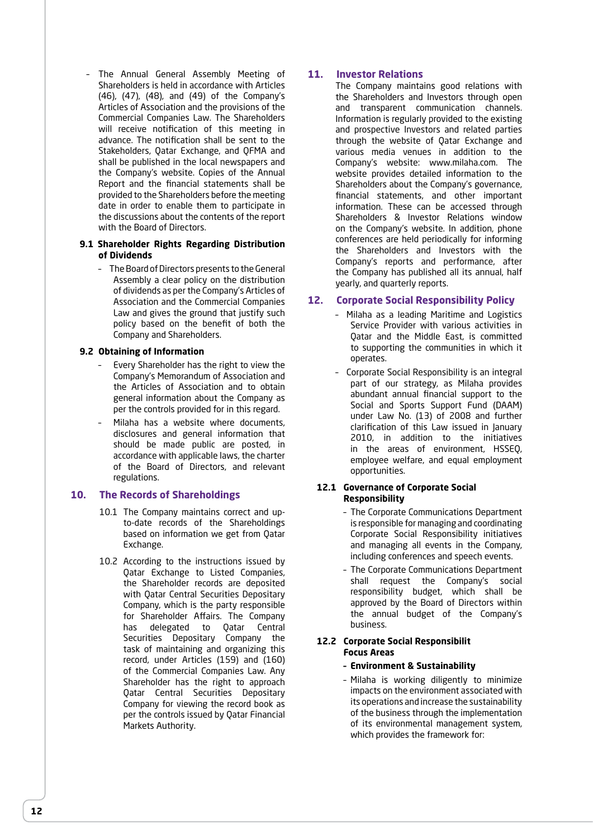– The Annual General Assembly Meeting of Shareholders is held in accordance with Articles (46), (47), (48), and (49) of the Company's Articles of Association and the provisions of the Commercial Companies Law. The Shareholders will receive notification of this meeting in advance. The notification shall be sent to the Stakeholders, Qatar Exchange, and QFMA and shall be published in the local newspapers and the Company's website. Copies of the Annual Report and the financial statements shall be provided to the Shareholders before the meeting date in order to enable them to participate in the discussions about the contents of the report with the Board of Directors.

#### **9.1 Shareholder Rights Regarding Distribution of Dividends**

 – The Board of Directors presents to the General Assembly a clear policy on the distribution of dividends as per the Company's Articles of Association and the Commercial Companies Law and gives the ground that justify such policy based on the benefit of both the Company and Shareholders.

#### **9.2 Obtaining of Information**

- Every Shareholder has the right to view the Company's Memorandum of Association and the Articles of Association and to obtain general information about the Company as per the controls provided for in this regard.
- Milaha has a website where documents, disclosures and general information that should be made public are posted, in accordance with applicable laws, the charter of the Board of Directors, and relevant regulations.

#### **10. The Records of Shareholdings**

- 10.1 The Company maintains correct and upto-date records of the Shareholdings based on information we get from Qatar Exchange.
- 10.2 According to the instructions issued by Qatar Exchange to Listed Companies, the Shareholder records are deposited with Qatar Central Securities Depositary Company, which is the party responsible for Shareholder Affairs. The Company has delegated to Qatar Central Securities Depositary Company the task of maintaining and organizing this record, under Articles (159) and (160) of the Commercial Companies Law. Any Shareholder has the right to approach Qatar Central Securities Depositary Company for viewing the record book as per the controls issued by Qatar Financial Markets Authority.

## **11. Investor Relations**

The Company maintains good relations with the Shareholders and Investors through open and transparent communication channels. Information is regularly provided to the existing and prospective Investors and related parties through the website of Qatar Exchange and various media venues in addition to the Company's website: www.milaha.com. The website provides detailed information to the Shareholders about the Company's governance, financial statements, and other important information. These can be accessed through Shareholders & Investor Relations window on the Company's website. In addition, phone conferences are held periodically for informing the Shareholders and Investors with the Company's reports and performance, after the Company has published all its annual, half yearly, and quarterly reports.

## **12. Corporate Social Responsibility Policy**

- Milaha as a leading Maritime and Logistics Service Provider with various activities in Qatar and the Middle East, is committed to supporting the communities in which it operates.
- Corporate Social Responsibility is an integral part of our strategy, as Milaha provides abundant annual financial support to the Social and Sports Support Fund (DAAM) under Law No. (13) of 2008 and further clarification of this Law issued in January 2010, in addition to the initiatives in the areas of environment, HSSEQ, employee welfare, and equal employment opportunities.

#### **12.1 Governance of Corporate Social Responsibility**

- The Corporate Communications Department is responsible for managing and coordinating Corporate Social Responsibility initiatives and managing all events in the Company, including conferences and speech events.
- The Corporate Communications Department shall request the Company's social responsibility budget, which shall be approved by the Board of Directors within the annual budget of the Company's business.

#### **12.2 Corporate Social Responsibilit Focus Areas**

#### **– Environment & Sustainability**

 – Milaha is working diligently to minimize impacts on the environment associated with its operations and increase the sustainability of the business through the implementation of its environmental management system, which provides the framework for: